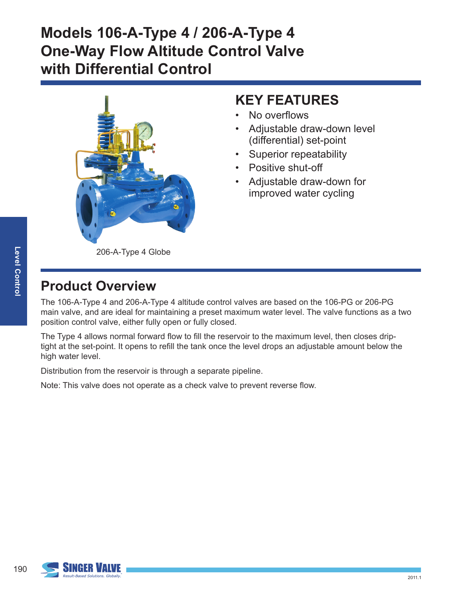

#### **KEY FEATURES**

- No overflows
- Adjustable draw-down level (differential) set-point
- Superior repeatability
- Positive shut-off
- Adjustable draw-down for improved water cycling

206-A-Type 4 Globe

# **Product Overview**

The 106-A-Type 4 and 206-A-Type 4 altitude control valves are based on the 106-PG or 206-PG main valve, and are ideal for maintaining a preset maximum water level. The valve functions as a two position control valve, either fully open or fully closed.

The Type 4 allows normal forward flow to fill the reservoir to the maximum level, then closes driptight at the set-point. It opens to refill the tank once the level drops an adjustable amount below the high water level.

Distribution from the reservoir is through a separate pipeline.

Note: This valve does not operate as a check valve to prevent reverse flow.

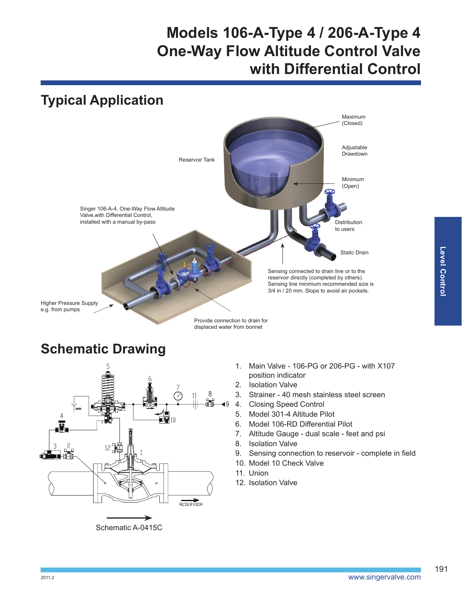

#### **Schematic Drawing**



- 1. Main Valve 106-PG or 206-PG with X107 position indicator
- 2. Isolation Valve
- 3. Strainer 40 mesh stainless steel screen
- 4. Closing Speed Control
- 5. Model 301-4 Altitude Pilot
- 6. Model 106-RD Differential Pilot
- 7. Altitude Gauge dual scale feet and psi
- 8. Isolation Valve
- 9. Sensing connection to reservoir complete in field
- 10. Model 10 Check Valve
- 11. Union
- 12. Isolation Valve

191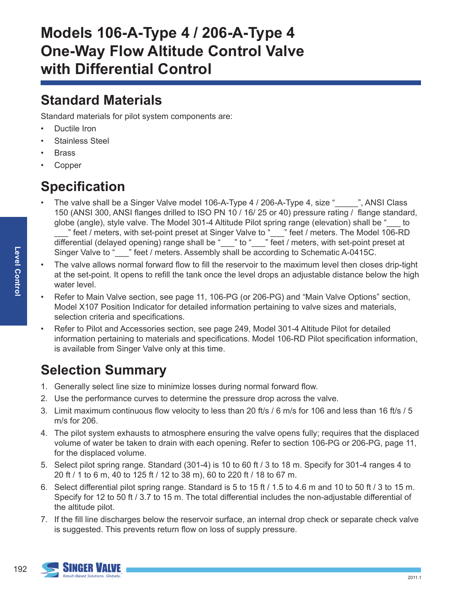#### **Standard Materials**

Standard materials for pilot system components are:

- Ductile Iron
- Stainless Steel
- **Brass**
- **Copper**

# **Specification**

- The valve shall be a Singer Valve model 106-A-Type 4 / 206-A-Type 4, size "\_\_\_\_", ANSI Class 150 (ANSI 300, ANSI flanges drilled to ISO PN 10 / 16/ 25 or 40) pressure rating / flange standard, globe (angle), style valve. The Model 301-4 Altitude Pilot spring range (elevation) shall be "\_\_\_ to " feet / meters, with set-point preset at Singer Valve to "\_\_\_" feet / meters. The Model 106-RD differential (delayed opening) range shall be "\_\_\_" to "\_\_\_" feet / meters, with set-point preset at Singer Valve to "\_\_\_" feet / meters. Assembly shall be according to Schematic A-0415C.
- The valve allows normal forward flow to fill the reservoir to the maximum level then closes drip-tight at the set-point. It opens to refill the tank once the level drops an adjustable distance below the high water level.
- Refer to Main Valve section, see page 11, 106-PG (or 206-PG) and "Main Valve Options" section, Model X107 Position Indicator for detailed information pertaining to valve sizes and materials, selection criteria and specifications.
- Refer to Pilot and Accessories section, see page 249, Model 301-4 Altitude Pilot for detailed information pertaining to materials and specifications. Model 106-RD Pilot specification information, is available from Singer Valve only at this time.

# **Selection Summary**

- 1. Generally select line size to minimize losses during normal forward flow.
- 2. Use the performance curves to determine the pressure drop across the valve.
- 3. Limit maximum continuous flow velocity to less than 20 ft/s / 6 m/s for 106 and less than 16 ft/s / 5 m/s for 206.
- 4. The pilot system exhausts to atmosphere ensuring the valve opens fully; requires that the displaced volume of water be taken to drain with each opening. Refer to section 106-PG or 206-PG, page 11, for the displaced volume.
- 5. Select pilot spring range. Standard (301-4) is 10 to 60 ft / 3 to 18 m. Specify for 301-4 ranges 4 to 20 ft / 1 to 6 m, 40 to 125 ft / 12 to 38 m), 60 to 220 ft / 18 to 67 m.
- 6. Select differential pilot spring range. Standard is 5 to 15 ft / 1.5 to 4.6 m and 10 to 50 ft / 3 to 15 m. Specify for 12 to 50 ft / 3.7 to 15 m. The total differential includes the non-adjustable differential of the altitude pilot.
- 7. If the fill line discharges below the reservoir surface, an internal drop check or separate check valve is suggested. This prevents return flow on loss of supply pressure.